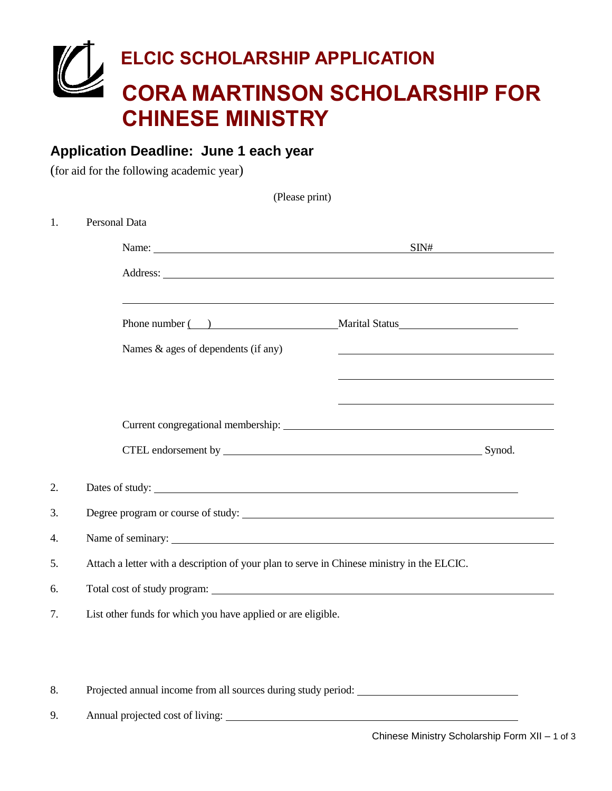# **ELCIC SCHOLARSHIP APPLICATION CORA MARTINSON SCHOLARSHIP FOR CHINESE MINISTRY**

 $(Dl_{\text{meas}} \dots \dots \dots)$ 

### **Application Deadline: June 1 each year**

(for aid for the following academic year)

| Personal Data                                                                                                                                                                                                                        |                                                            |  |
|--------------------------------------------------------------------------------------------------------------------------------------------------------------------------------------------------------------------------------------|------------------------------------------------------------|--|
| Name: $\frac{SNH}{H}$                                                                                                                                                                                                                |                                                            |  |
| Address: <u>The Community of the Community of the Community of the Community of the Community of the Community of the Community of the Community of the Community of the Community of the Community of the Community of the Comm</u> |                                                            |  |
| Phone number ( ) Marital Status Marital Status                                                                                                                                                                                       |                                                            |  |
| Names & ages of dependents (if any)                                                                                                                                                                                                  | <u> 1989 - Johann Barn, amerikansk politiker (d. 1989)</u> |  |
|                                                                                                                                                                                                                                      |                                                            |  |
|                                                                                                                                                                                                                                      |                                                            |  |
|                                                                                                                                                                                                                                      |                                                            |  |
|                                                                                                                                                                                                                                      |                                                            |  |
|                                                                                                                                                                                                                                      |                                                            |  |
| Degree program or course of study:                                                                                                                                                                                                   |                                                            |  |
|                                                                                                                                                                                                                                      |                                                            |  |
| Attach a letter with a description of your plan to serve in Chinese ministry in the ELCIC.                                                                                                                                           |                                                            |  |
|                                                                                                                                                                                                                                      |                                                            |  |
| List other funds for which you have applied or are eligible.                                                                                                                                                                         |                                                            |  |

8. Projected annual income from all sources during study period:

9. Annual projected cost of living: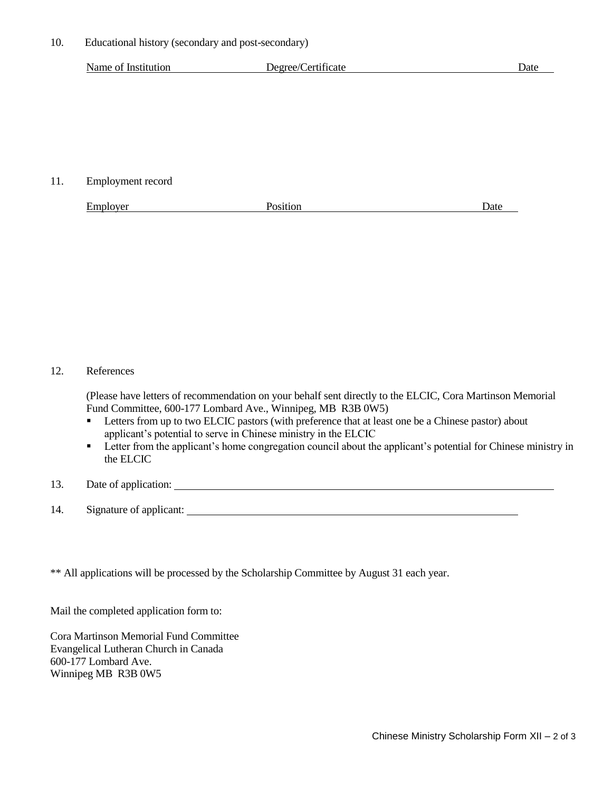10. Educational history (secondary and post-secondary)

|  | Name of Institution | Degree/Certificate | Date |
|--|---------------------|--------------------|------|
|--|---------------------|--------------------|------|

11. Employment record

| $\mathbf{r}$<br>Employer | 'os1t1on | Date |
|--------------------------|----------|------|
|                          |          |      |

#### 12. References

(Please have letters of recommendation on your behalf sent directly to the ELCIC, Cora Martinson Memorial Fund Committee, 600-177 Lombard Ave., Winnipeg, MB R3B 0W5)

- **EXECUCE 1** Letters from up to two ELCIC pastors (with preference that at least one be a Chinese pastor) about applicant's potential to serve in Chinese ministry in the ELCIC
- **Exercha** Letter from the applicant's home congregation council about the applicant's potential for Chinese ministry in the ELCIC
- 13. Date of application:
- 14. Signature of applicant:

\*\* All applications will be processed by the Scholarship Committee by August 31 each year.

Mail the completed application form to:

Cora Martinson Memorial Fund Committee Evangelical Lutheran Church in Canada 600-177 Lombard Ave. Winnipeg MB R3B 0W5